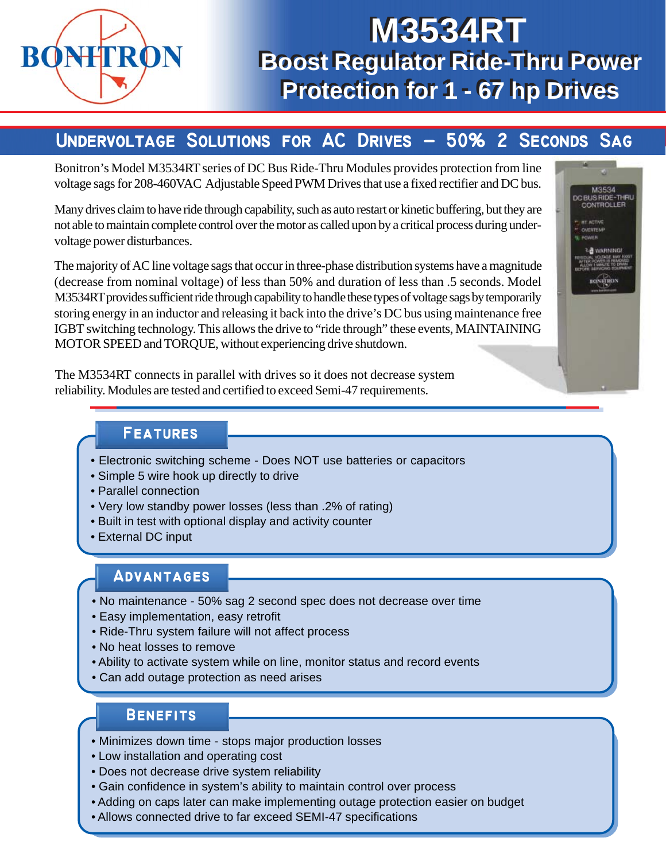

# **Boost Regulator Ride-Thru Power Boost Regulator Ride-Thru Power Protection for 1 - 67 hp Drives Protection for 1 - 67 hp DrivesM3534RT M3534RT**

## UNDERVOLTAGE SOLUTIONS FOR AC DRIVES - 50% 2 SECONDS SAG

Bonitron's Model M3534RT series of DC Bus Ride-Thru Modules provides protection from line voltage sags for 208-460VAC Adjustable Speed PWM Drives that use a fixed rectifier and DC bus.

Many drives claim to have ride through capability, such as auto restart or kinetic buffering, but they are not able to maintain complete control over the motor as called upon by a critical process during undervoltage power disturbances.

The majority of AC line voltage sags that occur in three-phase distribution systems have a magnitude (decrease from nominal voltage) of less than 50% and duration of less than .5 seconds. Model M3534RT provides sufficient ride through capability to handle these types of voltage sags by temporarily storing energy in an inductor and releasing it back into the drive's DC bus using maintenance free IGBT switching technology. This allows the drive to "ride through" these events, MAINTAINING MOTOR SPEED and TORQUE, without experiencing drive shutdown.

M3534 DC BUS RIDE-THRU **NETRON** 

The M3534RT connects in parallel with drives so it does not decrease system reliability. Modules are tested and certified to exceed Semi-47 requirements.

#### **Features Features**

- Electronic switching scheme Does NOT use batteries or capacitors
- Simple 5 wire hook up directly to drive
- Parallel connection
- Very low standby power losses (less than .2% of rating)
- Built in test with optional display and activity counter
- External DC input

## **Advantages Advantages**

- No maintenance 50% sag 2 second spec does not decrease over time
- Easy implementation, easy retrofit
- Ride-Thru system failure will not affect process
- No heat losses to remove
- Ability to activate system while on line, monitor status and record events
- Can add outage protection as need arises

## **Benefits Benefits**

- Minimizes down time stops major production losses
- Low installation and operating cost
- Does not decrease drive system reliability
- Gain confidence in system's ability to maintain control over process
- Adding on caps later can make implementing outage protection easier on budget
- Allows connected drive to far exceed SEMI-47 specifications